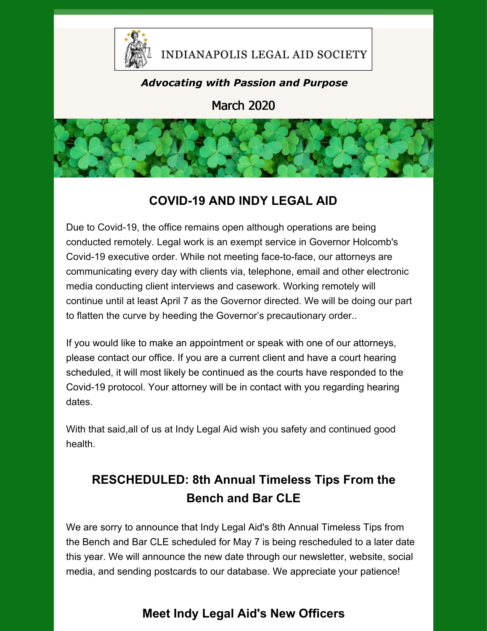

#### INDIANAPOLIS LEGAL AID SOCIETY

#### *Advocating with Passion and Purpose*

March 2020



### **COVID-19 AND INDY LEGAL AID**

Due to Covid-19, the office remains open although operations are being conducted remotely. Legal work is an exempt service in Governor Holcomb's Covid-19 executive order. While not meeting face-to-face, our attorneys are communicating every day with clients via, telephone, email and other electronic media conducting client interviews and casework. Working remotely will continue until at least April 7 as the Governor directed. We will be doing our part to flatten the curve by heeding the Governor's precautionary order..

If you would like to make an appointment or speak with one of our attorneys, please contact our office. If you are a current client and have a court hearing scheduled, it will most likely be continued as the courts have responded to the Covid-19 protocol. Your attorney will be in contact with you regarding hearing dates.

With that said,all of us at Indy Legal Aid wish you safety and continued good health.

### **RESCHEDULED: 8th Annual Timeless Tips From the Bench and Bar CLE**

We are sorry to announce that Indy Legal Aid's 8th Annual Timeless Tips from the Bench and Bar CLE scheduled for May 7 is being rescheduled to a later date this year. We will announce the new date through our newsletter, website, social media, and sending postcards to our database. We appreciate your patience!

### **Meet Indy Legal Aid's New Officers**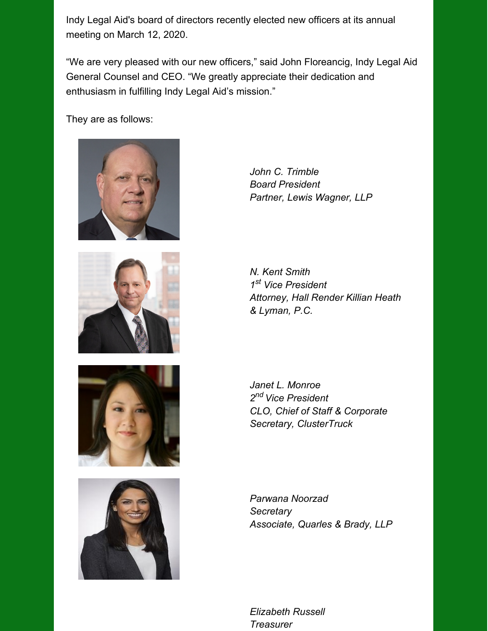Indy Legal Aid's board of directors recently elected new officers at its annual meeting on March 12, 2020.

"We are very pleased with our new officers," said John Floreancig, Indy Legal Aid General Counsel and CEO. "We greatly appreciate their dedication and enthusiasm in fulfilling Indy Legal Aid's mission."

They are as follows:









*John C. Trimble Board President Partner, Lewis Wagner, LLP*

*N. Kent Smith 1 st Vice President Attorney, Hall Render Killian Heath & Lyman, P.C.*

*Janet L. Monroe 2 nd Vice President CLO, Chief of Staff & Corporate Secretary, ClusterTruck*

*Parwana Noorzad Secretary Associate, Quarles & Brady, LLP*

*Elizabeth Russell Treasurer*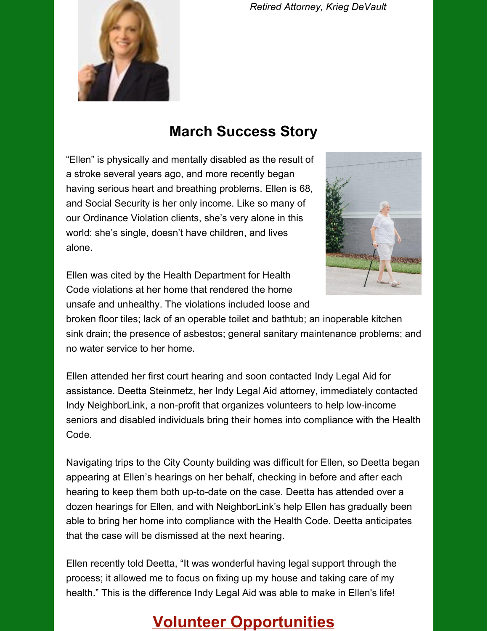*Retired Attorney, Krieg DeVault*



## **March Success Story**

"Ellen" is physically and mentally disabled as the result of a stroke several years ago, and more recently began having serious heart and breathing problems. Ellen is 68, and Social Security is her only income. Like so many of our Ordinance Violation clients, she's very alone in this world: she's single, doesn't have children, and lives alone.

Ellen was cited by the Health Department for Health Code violations at her home that rendered the home unsafe and unhealthy. The violations included loose and



broken floor tiles; lack of an operable toilet and bathtub; an inoperable kitchen sink drain; the presence of asbestos; general sanitary maintenance problems; and no water service to her home.

Ellen attended her first court hearing and soon contacted Indy Legal Aid for assistance. Deetta Steinmetz, her Indy Legal Aid attorney, immediately contacted Indy NeighborLink, a non-profit that organizes volunteers to help low-income seniors and disabled individuals bring their homes into compliance with the Health Code.

Navigating trips to the City County building was difficult for Ellen, so Deetta began appearing at Ellen's hearings on her behalf, checking in before and after each hearing to keep them both up-to-date on the case. Deetta has attended over a dozen hearings for Ellen, and with NeighborLink's help Ellen has gradually been able to bring her home into compliance with the Health Code. Deetta anticipates that the case will be dismissed at the next hearing.

Ellen recently told Deetta, "It was wonderful having legal support through the process; it allowed me to focus on fixing up my house and taking care of my health." This is the difference Indy Legal Aid was able to make in Ellen's life!

### **Volunteer Opportunities**